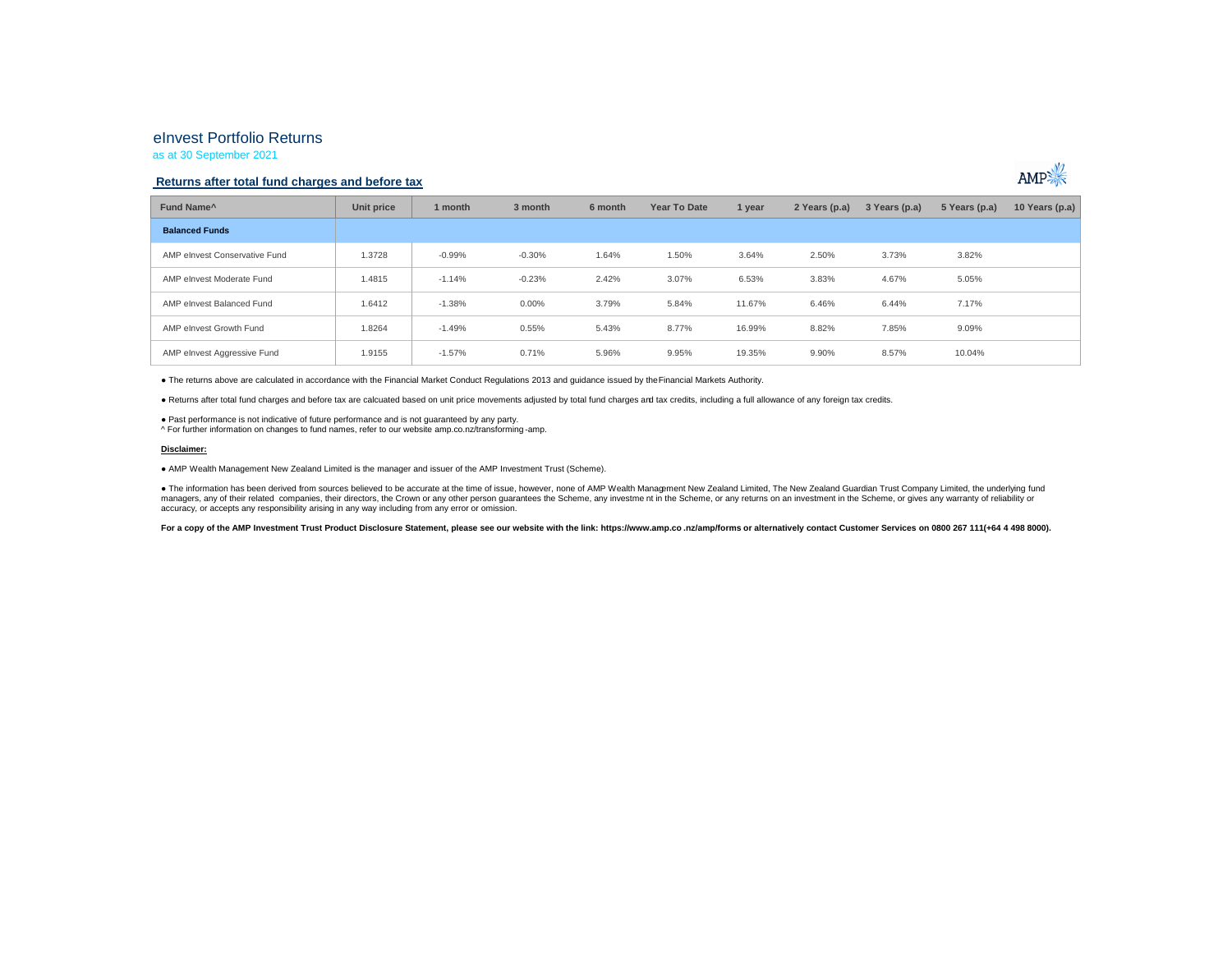## eInvest Portfolio Returns

as at 30 September 2021

## **Returns after total fund charges and before tax**



● The returns above are calculated in accordance with the Financial Market Conduct Regulations 2013 and guidance issued by the Financial Markets Authority.

● Returns after total fund charges and before tax are calcuated based on unit price movements adjusted by total fund charges and tax credits, including a full allowance of any foreign tax credits.

● Past performance is not indicative of future performance and is not guaranteed by any party.

^ For further information on changes to fund names, refer to our website amp.co.nz/transforming -amp.

#### **Disclaimer:**

● AMP Wealth Management New Zealand Limited is the manager and issuer of the AMP Investment Trust (Scheme).

● The information has been derived from sources believed to be accurate at the time of issue, however, none of AMP Wealth Management New Zealand Limited, The New Zealand Guardian Trust Company Limited, the underlying fund managers, any of their related companies, their directors, the Crown or any other person guarantees the Scheme, any investment in the Scheme, or any returns on an investment in the Scheme, or any returns on an investment i accuracy, or accepts any responsibility arising in any way including from any error or omission.

For a copy of the AMP Investment Trust Product Disclosure Statement, please see our website with the link: https://www.amp.co.nz/amp/forms or alternatively contact Customer Services on 0800 267 111(+64 4 498 8000).